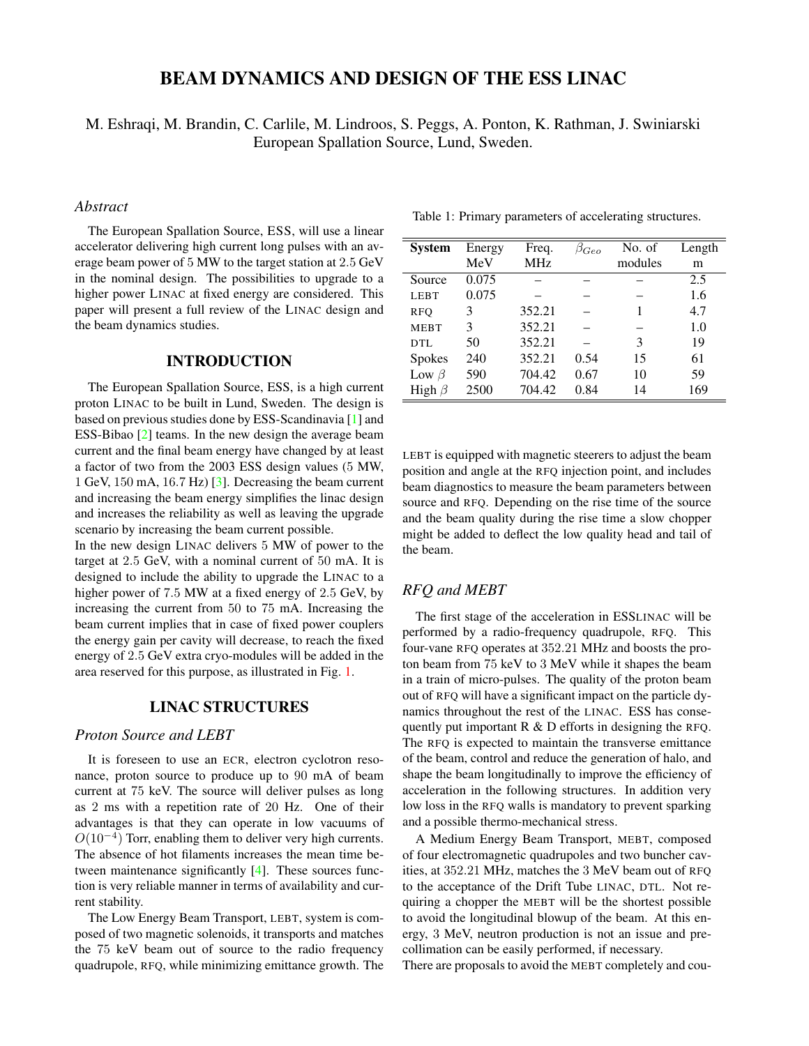# BEAM DYNAMICS AND DESIGN OF THE ESS LINAC

M. Eshraqi, M. Brandin, C. Carlile, M. Lindroos, S. Peggs, A. Ponton, K. Rathman, J. Swiniarski European Spallation Source, Lund, Sweden.

## *Abstract*

The European Spallation Source, ESS, will use a linear accelerator delivering high current long pulses with an average beam power of 5 MW to the target station at 2.5 GeV in the nominal design. The possibilities to upgrade to a higher power LINAC at fixed energy are considered. This paper will present a full review of the LINAC design and the beam dynamics studies.

#### INTRODUCTION

The European Spallation Source, ESS, is a high current proton LINAC to be built in Lund, Sweden. The design is based on previous studies done by ESS-Scandinavia [\[1\]](#page-3-0) and ESS-Bibao [\[2\]](#page-3-1) teams. In the new design the average beam current and the final beam energy have changed by at least a factor of two from the 2003 ESS design values (5 MW, 1 GeV, 150 mA, 16.7 Hz) [\[3\]](#page-3-2). Decreasing the beam current and increasing the beam energy simplifies the linac design and increases the reliability as well as leaving the upgrade scenario by increasing the beam current possible.

In the new design LINAC delivers 5 MW of power to the target at 2.5 GeV, with a nominal current of 50 mA. It is designed to include the ability to upgrade the LINAC to a higher power of 7.5 MW at a fixed energy of 2.5 GeV, by increasing the current from 50 to 75 mA. Increasing the beam current implies that in case of fixed power couplers the energy gain per cavity will decrease, to reach the fixed energy of 2.5 GeV extra cryo-modules will be added in the area reserved for this purpose, as illustrated in Fig. [1.](#page-1-0)

### LINAC STRUCTURES

#### *Proton Source and LEBT*

It is foreseen to use an ECR, electron cyclotron resonance, proton source to produce up to 90 mA of beam current at 75 keV. The source will deliver pulses as long as 2 ms with a repetition rate of 20 Hz. One of their advantages is that they can operate in low vacuums of  $O(10^{-4})$  Torr, enabling them to deliver very high currents. The absence of hot filaments increases the mean time between maintenance significantly [\[4\]](#page-3-3). These sources function is very reliable manner in terms of availability and current stability.

The Low Energy Beam Transport, LEBT, system is composed of two magnetic solenoids, it transports and matches the 75 keV beam out of source to the radio frequency quadrupole, RFQ, while minimizing emittance growth. The

| <b>System</b> | Energy | Freq.      | $\beta_{Geo}$ | No. of  | Length |
|---------------|--------|------------|---------------|---------|--------|
|               | MeV    | <b>MHz</b> |               | modules | m      |
| Source        | 0.075  |            |               |         | 2.5    |
| <b>LEBT</b>   | 0.075  |            |               |         | 1.6    |
| <b>RFO</b>    | 3      | 352.21     |               |         | 4.7    |
| <b>MEBT</b>   | 3      | 352.21     |               |         | 1.0    |
| DTL           | 50     | 352.21     |               | 3       | 19     |
| Spokes        | 240    | 352.21     | 0.54          | 15      | 61     |
| Low $\beta$   | 590    | 704.42     | 0.67          | 10      | 59     |
| High $\beta$  | 2500   | 704.42     | 0.84          | 14      | 169    |

Table 1: Primary parameters of accelerating structures.

LEBT is equipped with magnetic steerers to adjust the beam position and angle at the RFQ injection point, and includes beam diagnostics to measure the beam parameters between source and RFQ. Depending on the rise time of the source and the beam quality during the rise time a slow chopper might be added to deflect the low quality head and tail of the beam.

# *RFQ and MEBT*

The first stage of the acceleration in ESSLINAC will be performed by a radio-frequency quadrupole, RFQ. This four-vane RFQ operates at 352.21 MHz and boosts the proton beam from 75 keV to 3 MeV while it shapes the beam in a train of micro-pulses. The quality of the proton beam out of RFQ will have a significant impact on the particle dynamics throughout the rest of the LINAC. ESS has consequently put important R & D efforts in designing the RFQ. The RFQ is expected to maintain the transverse emittance of the beam, control and reduce the generation of halo, and shape the beam longitudinally to improve the efficiency of acceleration in the following structures. In addition very low loss in the RFQ walls is mandatory to prevent sparking and a possible thermo-mechanical stress.

A Medium Energy Beam Transport, MEBT, composed of four electromagnetic quadrupoles and two buncher cavities, at 352.21 MHz, matches the 3 MeV beam out of RFQ to the acceptance of the Drift Tube LINAC, DTL. Not requiring a chopper the MEBT will be the shortest possible to avoid the longitudinal blowup of the beam. At this energy, 3 MeV, neutron production is not an issue and precollimation can be easily performed, if necessary.

There are proposals to avoid the MEBT completely and cou-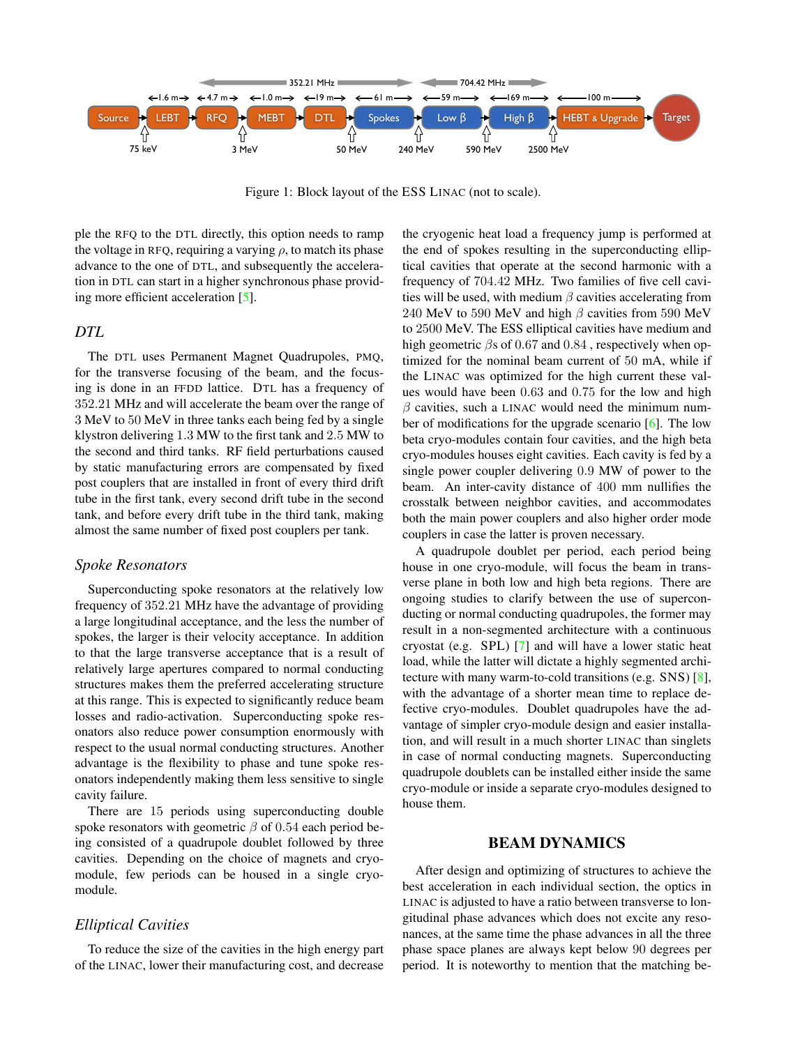

<span id="page-1-0"></span>Figure 1: Block layout of the ESS LINAC (not to scale).

ple the RFQ to the DTL directly, this option needs to ramp the voltage in RFQ, requiring a varying  $\rho$ , to match its phase advance to the one of DTL, and subsequently the acceleration in DTL can start in a higher synchronous phase providing more efficient acceleration [\[5\]](#page-3-4).

#### *DTL*

The DTL uses Permanent Magnet Quadrupoles, PMQ, for the transverse focusing of the beam, and the focusing is done in an FFDD lattice. DTL has a frequency of 352.21 MHz and will accelerate the beam over the range of 3 MeV to 50 MeV in three tanks each being fed by a single klystron delivering 1.3 MW to the first tank and 2.5 MW to the second and third tanks. RF field perturbations caused by static manufacturing errors are compensated by fixed post couplers that are installed in front of every third drift tube in the first tank, every second drift tube in the second tank, and before every drift tube in the third tank, making almost the same number of fixed post couplers per tank.

#### *Spoke Resonators*

Superconducting spoke resonators at the relatively low frequency of 352.21 MHz have the advantage of providing a large longitudinal acceptance, and the less the number of spokes, the larger is their velocity acceptance. In addition to that the large transverse acceptance that is a result of relatively large apertures compared to normal conducting structures makes them the preferred accelerating structure at this range. This is expected to significantly reduce beam losses and radio-activation. Superconducting spoke resonators also reduce power consumption enormously with respect to the usual normal conducting structures. Another advantage is the flexibility to phase and tune spoke resonators independently making them less sensitive to single cavity failure.

There are 15 periods using superconducting double spoke resonators with geometric  $\beta$  of 0.54 each period being consisted of a quadrupole doublet followed by three cavities. Depending on the choice of magnets and cryomodule, few periods can be housed in a single cryomodule.

## *Elliptical Cavities*

To reduce the size of the cavities in the high energy part of the LINAC, lower their manufacturing cost, and decrease the cryogenic heat load a frequency jump is performed at the end of spokes resulting in the superconducting elliptical cavities that operate at the second harmonic with a frequency of 704.42 MHz. Two families of five cell cavities will be used, with medium  $\beta$  cavities accelerating from 240 MeV to 590 MeV and high  $\beta$  cavities from 590 MeV to 2500 MeV. The ESS elliptical cavities have medium and high geometric βs of 0.67 and 0.84 , respectively when optimized for the nominal beam current of 50 mA, while if the LINAC was optimized for the high current these values would have been 0.63 and 0.75 for the low and high  $\beta$  cavities, such a LINAC would need the minimum number of modifications for the upgrade scenario [\[6\]](#page-3-5). The low beta cryo-modules contain four cavities, and the high beta cryo-modules houses eight cavities. Each cavity is fed by a single power coupler delivering 0.9 MW of power to the beam. An inter-cavity distance of 400 mm nullifies the crosstalk between neighbor cavities, and accommodates both the main power couplers and also higher order mode couplers in case the latter is proven necessary.

A quadrupole doublet per period, each period being house in one cryo-module, will focus the beam in transverse plane in both low and high beta regions. There are ongoing studies to clarify between the use of superconducting or normal conducting quadrupoles, the former may result in a non-segmented architecture with a continuous cryostat (e.g. SPL) [\[7\]](#page-3-6) and will have a lower static heat load, while the latter will dictate a highly segmented architecture with many warm-to-cold transitions (e.g. SNS) [\[8\]](#page-3-7), with the advantage of a shorter mean time to replace defective cryo-modules. Doublet quadrupoles have the advantage of simpler cryo-module design and easier installation, and will result in a much shorter LINAC than singlets in case of normal conducting magnets. Superconducting quadrupole doublets can be installed either inside the same cryo-module or inside a separate cryo-modules designed to house them.

#### BEAM DYNAMICS

After design and optimizing of structures to achieve the best acceleration in each individual section, the optics in LINAC is adjusted to have a ratio between transverse to longitudinal phase advances which does not excite any resonances, at the same time the phase advances in all the three phase space planes are always kept below 90 degrees per period. It is noteworthy to mention that the matching be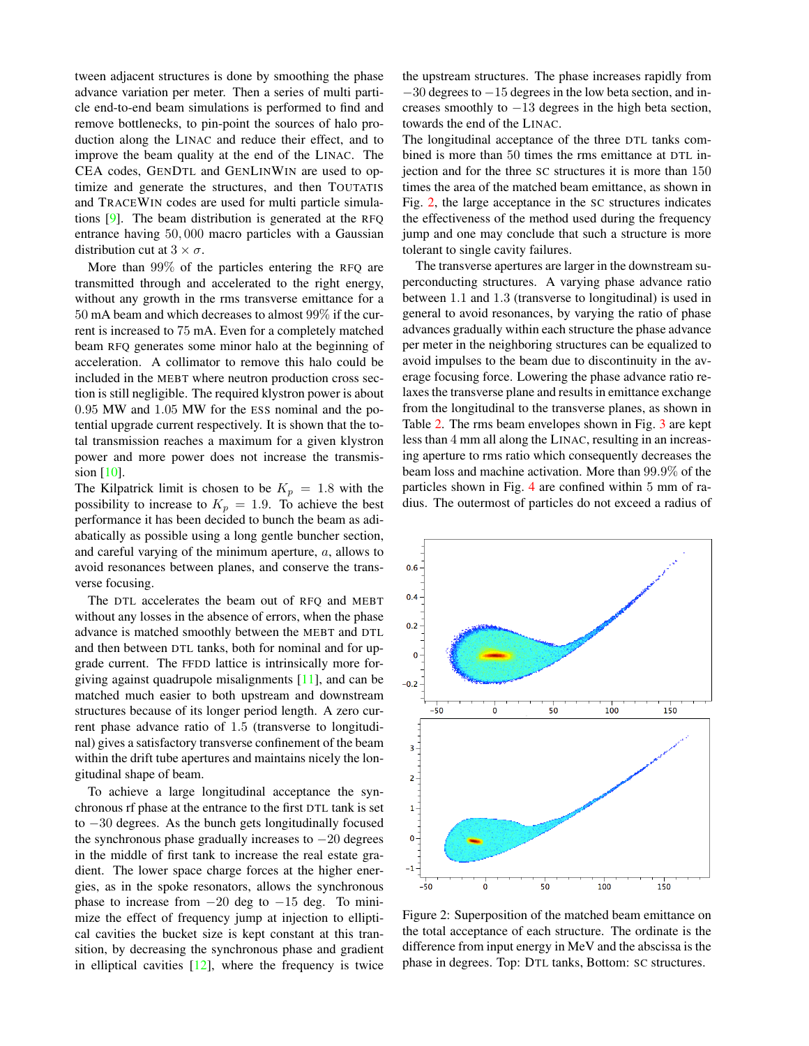tween adjacent structures is done by smoothing the phase advance variation per meter. Then a series of multi particle end-to-end beam simulations is performed to find and remove bottlenecks, to pin-point the sources of halo production along the LINAC and reduce their effect, and to improve the beam quality at the end of the LINAC. The CEA codes, GENDTL and GENLINWIN are used to optimize and generate the structures, and then TOUTATIS and TRACEWIN codes are used for multi particle simulations [\[9\]](#page-3-8). The beam distribution is generated at the RFQ entrance having 50, 000 macro particles with a Gaussian distribution cut at  $3 \times \sigma$ .

More than 99% of the particles entering the RFQ are transmitted through and accelerated to the right energy, without any growth in the rms transverse emittance for a 50 mA beam and which decreases to almost 99% if the current is increased to 75 mA. Even for a completely matched beam RFQ generates some minor halo at the beginning of acceleration. A collimator to remove this halo could be included in the MEBT where neutron production cross section is still negligible. The required klystron power is about 0.95 MW and 1.05 MW for the ESS nominal and the potential upgrade current respectively. It is shown that the total transmission reaches a maximum for a given klystron power and more power does not increase the transmission  $[10]$ .

The Kilpatrick limit is chosen to be  $K_p = 1.8$  with the possibility to increase to  $K_p = 1.9$ . To achieve the best performance it has been decided to bunch the beam as adiabatically as possible using a long gentle buncher section, and careful varying of the minimum aperture, a, allows to avoid resonances between planes, and conserve the transverse focusing.

The DTL accelerates the beam out of RFQ and MEBT without any losses in the absence of errors, when the phase advance is matched smoothly between the MEBT and DTL and then between DTL tanks, both for nominal and for upgrade current. The FFDD lattice is intrinsically more forgiving against quadrupole misalignments [\[11\]](#page-3-10), and can be matched much easier to both upstream and downstream structures because of its longer period length. A zero current phase advance ratio of 1.5 (transverse to longitudinal) gives a satisfactory transverse confinement of the beam within the drift tube apertures and maintains nicely the longitudinal shape of beam.

To achieve a large longitudinal acceptance the synchronous rf phase at the entrance to the first DTL tank is set to −30 degrees. As the bunch gets longitudinally focused the synchronous phase gradually increases to  $-20$  degrees in the middle of first tank to increase the real estate gradient. The lower space charge forces at the higher energies, as in the spoke resonators, allows the synchronous phase to increase from  $-20$  deg to  $-15$  deg. To minimize the effect of frequency jump at injection to elliptical cavities the bucket size is kept constant at this transition, by decreasing the synchronous phase and gradient in elliptical cavities  $[12]$ , where the frequency is twice the upstream structures. The phase increases rapidly from −30 degrees to −15 degrees in the low beta section, and increases smoothly to  $-13$  degrees in the high beta section, towards the end of the LINAC.

The longitudinal acceptance of the three DTL tanks combined is more than 50 times the rms emittance at DTL injection and for the three SC structures it is more than 150 times the area of the matched beam emittance, as shown in Fig. [2,](#page-2-0) the large acceptance in the SC structures indicates the effectiveness of the method used during the frequency jump and one may conclude that such a structure is more tolerant to single cavity failures.

The transverse apertures are larger in the downstream superconducting structures. A varying phase advance ratio between 1.1 and 1.3 (transverse to longitudinal) is used in general to avoid resonances, by varying the ratio of phase advances gradually within each structure the phase advance per meter in the neighboring structures can be equalized to avoid impulses to the beam due to discontinuity in the average focusing force. Lowering the phase advance ratio relaxes the transverse plane and results in emittance exchange from the longitudinal to the transverse planes, as shown in Table [2.](#page-3-12) The rms beam envelopes shown in Fig. [3](#page-3-13) are kept less than 4 mm all along the LINAC, resulting in an increasing aperture to rms ratio which consequently decreases the beam loss and machine activation. More than 99.9% of the particles shown in Fig. [4](#page-3-14) are confined within 5 mm of radius. The outermost of particles do not exceed a radius of



<span id="page-2-0"></span>Figure 2: Superposition of the matched beam emittance on the total acceptance of each structure. The ordinate is the difference from input energy in MeV and the abscissa is the phase in degrees. Top: DTL tanks, Bottom: SC structures.